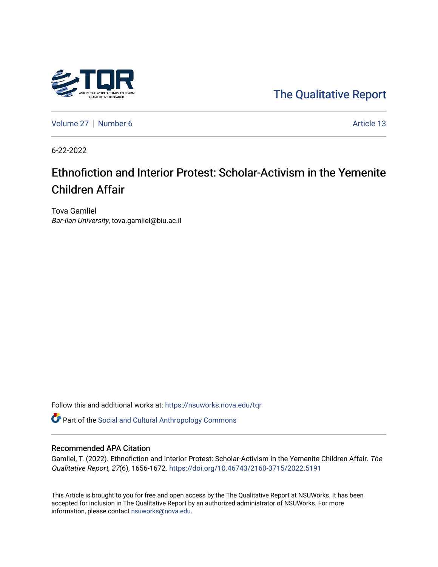

[The Qualitative Report](https://nsuworks.nova.edu/tqr) 

[Volume 27](https://nsuworks.nova.edu/tqr/vol27) | [Number 6](https://nsuworks.nova.edu/tqr/vol27/iss6) Article 13

6-22-2022

# Ethnofiction and Interior Protest: Scholar-Activism in the Yemenite Children Affair

Tova Gamliel Bar-Ilan University, tova.gamliel@biu.ac.il

Follow this and additional works at: [https://nsuworks.nova.edu/tqr](https://nsuworks.nova.edu/tqr?utm_source=nsuworks.nova.edu%2Ftqr%2Fvol27%2Fiss6%2F13&utm_medium=PDF&utm_campaign=PDFCoverPages) 

Part of the [Social and Cultural Anthropology Commons](https://network.bepress.com/hgg/discipline/323?utm_source=nsuworks.nova.edu%2Ftqr%2Fvol27%2Fiss6%2F13&utm_medium=PDF&utm_campaign=PDFCoverPages) 

#### Recommended APA Citation

Gamliel, T. (2022). Ethnofiction and Interior Protest: Scholar-Activism in the Yemenite Children Affair. The Qualitative Report, 27(6), 1656-1672. <https://doi.org/10.46743/2160-3715/2022.5191>

This Article is brought to you for free and open access by the The Qualitative Report at NSUWorks. It has been accepted for inclusion in The Qualitative Report by an authorized administrator of NSUWorks. For more information, please contact [nsuworks@nova.edu.](mailto:nsuworks@nova.edu)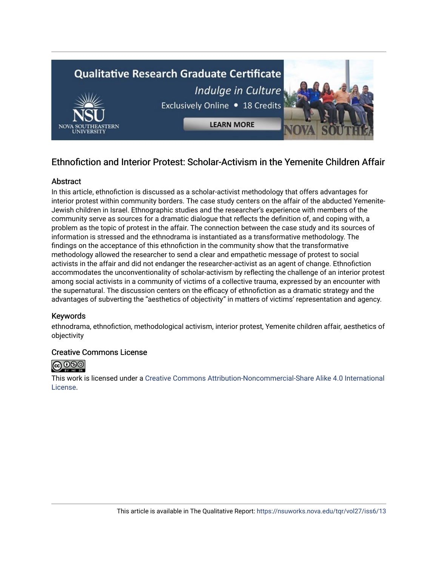

# Ethnofiction and Interior Protest: Scholar-Activism in the Yemenite Children Affair

### Abstract

In this article, ethnofiction is discussed as a scholar-activist methodology that offers advantages for interior protest within community borders. The case study centers on the affair of the abducted Yemenite-Jewish children in Israel. Ethnographic studies and the researcher's experience with members of the community serve as sources for a dramatic dialogue that reflects the definition of, and coping with, a problem as the topic of protest in the affair. The connection between the case study and its sources of information is stressed and the ethnodrama is instantiated as a transformative methodology. The findings on the acceptance of this ethnofiction in the community show that the transformative methodology allowed the researcher to send a clear and empathetic message of protest to social activists in the affair and did not endanger the researcher-activist as an agent of change. Ethnofiction accommodates the unconventionality of scholar-activism by reflecting the challenge of an interior protest among social activists in a community of victims of a collective trauma, expressed by an encounter with the supernatural. The discussion centers on the efficacy of ethnofiction as a dramatic strategy and the advantages of subverting the "aesthetics of objectivity" in matters of victims' representation and agency.

#### Keywords

ethnodrama, ethnofiction, methodological activism, interior protest, Yemenite children affair, aesthetics of objectivity

#### Creative Commons License



This work is licensed under a [Creative Commons Attribution-Noncommercial-Share Alike 4.0 International](https://creativecommons.org/licenses/by-nc-sa/4.0/)  [License](https://creativecommons.org/licenses/by-nc-sa/4.0/).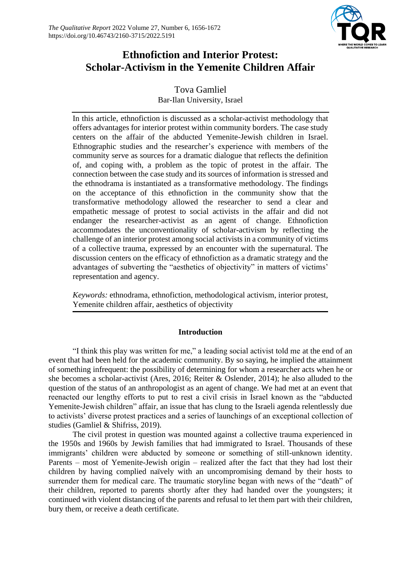

# **Ethnofiction and Interior Protest: Scholar-Activism in the Yemenite Children Affair**

# Tova Gamliel Bar-Ilan University, Israel

In this article, ethnofiction is discussed as a scholar-activist methodology that offers advantages for interior protest within community borders. The case study centers on the affair of the abducted Yemenite-Jewish children in Israel. Ethnographic studies and the researcher's experience with members of the community serve as sources for a dramatic dialogue that reflects the definition of, and coping with, a problem as the topic of protest in the affair. The connection between the case study and its sources of information is stressed and the ethnodrama is instantiated as a transformative methodology. The findings on the acceptance of this ethnofiction in the community show that the transformative methodology allowed the researcher to send a clear and empathetic message of protest to social activists in the affair and did not endanger the researcher-activist as an agent of change. Ethnofiction accommodates the unconventionality of scholar-activism by reflecting the challenge of an interior protest among social activists in a community of victims of a collective trauma, expressed by an encounter with the supernatural. The discussion centers on the efficacy of ethnofiction as a dramatic strategy and the advantages of subverting the "aesthetics of objectivity" in matters of victims' representation and agency.

*Keywords:* ethnodrama, ethnofiction, methodological activism, interior protest, Yemenite children affair, aesthetics of objectivity

### **Introduction**

"I think this play was written for me," a leading social activist told me at the end of an event that had been held for the academic community. By so saying, he implied the attainment of something infrequent: the possibility of determining for whom a researcher acts when he or she becomes a scholar-activist (Ares, 2016; Reiter & Oslender, 2014); he also alluded to the question of the status of an anthropologist as an agent of change. We had met at an event that reenacted our lengthy efforts to put to rest a civil crisis in Israel known as the "abducted Yemenite-Jewish children" affair, an issue that has clung to the Israeli agenda relentlessly due to activists' diverse protest practices and a series of launchings of an exceptional collection of studies (Gamliel & Shifriss, 2019).

The civil protest in question was mounted against a collective trauma experienced in the 1950s and 1960s by Jewish families that had immigrated to Israel. Thousands of these immigrants' children were abducted by someone or something of still-unknown identity. Parents – most of Yemenite-Jewish origin – realized after the fact that they had lost their children by having complied naïvely with an uncompromising demand by their hosts to surrender them for medical care. The traumatic storyline began with news of the "death" of their children, reported to parents shortly after they had handed over the youngsters; it continued with violent distancing of the parents and refusal to let them part with their children, bury them, or receive a death certificate.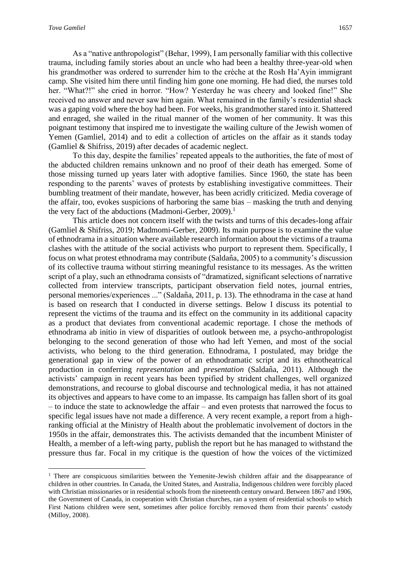As a "native anthropologist" (Behar, 1999), I am personally familiar with this collective trauma, including family stories about an uncle who had been a healthy three-year-old when his grandmother was ordered to surrender him to the crèche at the Rosh Ha'Ayin immigrant camp. She visited him there until finding him gone one morning. He had died, the nurses told her. "What?!" she cried in horror. "How? Yesterday he was cheery and looked fine!" She received no answer and never saw him again. What remained in the family's residential shack was a gaping void where the boy had been. For weeks, his grandmother stared into it. Shattered and enraged, she wailed in the ritual manner of the women of her community. It was this poignant testimony that inspired me to investigate the wailing culture of the Jewish women of Yemen (Gamliel, 2014) and to edit a collection of articles on the affair as it stands today (Gamliel & Shifriss, 2019) after decades of academic neglect.

To this day, despite the families' repeated appeals to the authorities, the fate of most of the abducted children remains unknown and no proof of their death has emerged. Some of those missing turned up years later with adoptive families. Since 1960, the state has been responding to the parents' waves of protests by establishing investigative committees. Their bumbling treatment of their mandate, however, has been acridly criticized. Media coverage of the affair, too, evokes suspicions of harboring the same bias – masking the truth and denying the very fact of the abductions (Madmoni-Gerber, 2009).<sup>1</sup>

This article does not concern itself with the twists and turns of this decades-long affair (Gamliel & Shifriss, 2019; Madmomi-Gerber, 2009). Its main purpose is to examine the value of ethnodrama in a situation where available research information about the victims of a trauma clashes with the attitude of the social activists who purport to represent them. Specifically, I focus on what protest ethnodrama may contribute (Saldaña, 2005) to a community's discussion of its collective trauma without stirring meaningful resistance to its messages. As the written script of a play, such an ethnodrama consists of "dramatized, significant selections of narrative collected from interview transcripts, participant observation field notes, journal entries, personal memories/experiences ..." (Saldan͂a, 2011, p. 13). The ethnodrama in the case at hand is based on research that I conducted in diverse settings. Below I discuss its potential to represent the victims of the trauma and its effect on the community in its additional capacity as a product that deviates from conventional academic reportage. I chose the methods of ethnodrama ab initio in view of disparities of outlook between me, a psycho-anthropologist belonging to the second generation of those who had left Yemen, and most of the social activists, who belong to the third generation. Ethnodrama, I postulated, may bridge the generational gap in view of the power of an ethnodramatic script and its ethnotheatrical production in conferring *representation* and *presentation* (Saldan͂a, 2011). Although the activists' campaign in recent years has been typified by strident challenges, well organized demonstrations, and recourse to global discourse and technological media, it has not attained its objectives and appears to have come to an impasse. Its campaign has fallen short of its goal – to induce the state to acknowledge the affair – and even protests that narrowed the focus to specific legal issues have not made a difference. A very recent example, a report from a highranking official at the Ministry of Health about the problematic involvement of doctors in the 1950s in the affair, demonstrates this. The activists demanded that the incumbent Minister of Health, a member of a left-wing party, publish the report but he has managed to withstand the pressure thus far. Focal in my critique is the question of how the voices of the victimized

<sup>&</sup>lt;sup>1</sup> There are conspicuous similarities between the Yemenite-Jewish children affair and the disappearance of children in other countries. In Canada, the United States, and Australia, Indigenous children were forcibly placed with Christian missionaries or in residential schools from the nineteenth century onward. Between 1867 and 1906, the Government of Canada, in cooperation with Christian churches, ran a system of residential schools to which First Nations children were sent, sometimes after police forcibly removed them from their parents' custody (Milloy, 2008).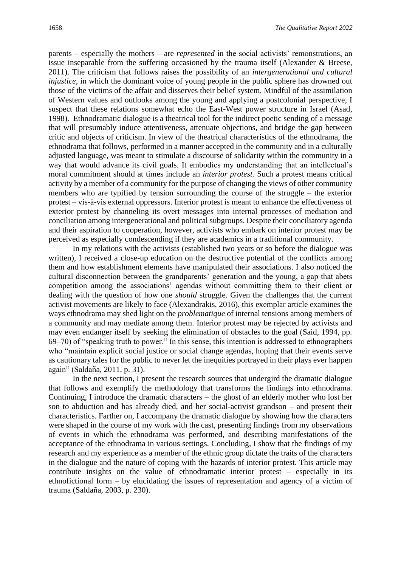parents – especially the mothers – are *represented* in the social activists' remonstrations, an issue inseparable from the suffering occasioned by the trauma itself (Alexander & Breese, 2011). The criticism that follows raises the possibility of an *intergenerational and cultural injustice*, in which the dominant voice of young people in the public sphere has drowned out those of the victims of the affair and disserves their belief system. Mindful of the assimilation of Western values and outlooks among the young and applying a postcolonial perspective, I suspect that these relations somewhat echo the East-West power structure in Israel (Asad, 1998). Ethnodramatic dialogue is a theatrical tool for the indirect poetic sending of a message that will presumably induce attentiveness, attenuate objections, and bridge the gap between critic and objects of criticism. In view of the theatrical characteristics of the ethnodrama, the ethnodrama that follows, performed in a manner accepted in the community and in a culturally adjusted language, was meant to stimulate a discourse of solidarity within the community in a way that would advance its civil goals. It embodies my understanding that an intellectual's moral commitment should at times include an *interior protest.* Such a protest means critical activity by a member of a community for the purpose of changing the views of other community members who are typified by tension surrounding the course of the struggle – the exterior protest – vis-à-vis external oppressors. Interior protest is meant to enhance the effectiveness of exterior protest by channeling its overt messages into internal processes of mediation and conciliation among intergenerational and political subgroups. Despite their conciliatory agenda and their aspiration to cooperation, however, activists who embark on interior protest may be perceived as especially condescending if they are academics in a traditional community.

In my relations with the activists (established two years or so before the dialogue was written), I received a close-up education on the destructive potential of the conflicts among them and how establishment elements have manipulated their associations. I also noticed the cultural disconnection between the grandparents' generation and the young, a gap that abets competition among the associations' agendas without committing them to their client or dealing with the question of how one *should* struggle. Given the challenges that the current activist movements are likely to face (Alexandrakis, 2016), this exemplar article examines the ways ethnodrama may shed light on the *problematique* of internal tensions among members of a community and may mediate among them. Interior protest may be rejected by activists and may even endanger itself by seeking the elimination of obstacles to the goal (Said, 1994, pp. 69–70) of "speaking truth to power." In this sense, this intention is addressed to ethnographers who "maintain explicit social justice or social change agendas, hoping that their events serve as cautionary tales for the public to never let the inequities portrayed in their plays ever happen again" (Saldan͂a, 2011, p. 31).

In the next section, I present the research sources that undergird the dramatic dialogue that follows and exemplify the methodology that transforms the findings into ethnodrama. Continuing, I introduce the dramatic characters – the ghost of an elderly mother who lost her son to abduction and has already died, and her social-activist grandson – and present their characteristics. Farther on, I accompany the dramatic dialogue by showing how the characters were shaped in the course of my work with the cast, presenting findings from my observations of events in which the ethnodrama was performed, and describing manifestations of the acceptance of the ethnodrama in various settings. Concluding, I show that the findings of my research and my experience as a member of the ethnic group dictate the traits of the characters in the dialogue and the nature of coping with the hazards of interior protest. This article may contribute insights on the value of ethnodramatic interior protest – especially in its ethnofictional form – by elucidating the issues of representation and agency of a victim of trauma (Saldan͂a, 2003, p. 230).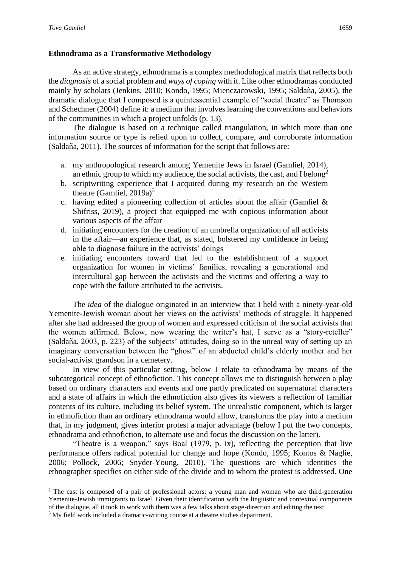#### **Ethnodrama as a Transformative Methodology**

As an active strategy, ethnodrama is a complex methodological matrix that reflects both the *diagnosis* of a social problem and *ways of coping* with it. Like other ethnodramas conducted mainly by scholars (Jenkins, 2010; Kondo, 1995; Mienczacowski, 1995; Saldan͂a, 2005), the dramatic dialogue that I composed is a quintessential example of "social theatre" as Thomson and Schechner (2004) define it: a medium that involves learning the conventions and behaviors of the communities in which a project unfolds (p. 13).

The dialogue is based on a technique called triangulation, in which more than one information source or type is relied upon to collect, compare, and corroborate information (Saldan͂a, 2011). The sources of information for the script that follows are:

- a. my anthropological research among Yemenite Jews in Israel (Gamliel, 2014), an ethnic group to which my audience, the social activists, the cast*,* and I belong<sup>2</sup>
- b. scriptwriting experience that I acquired during my research on the Western theatre (Gamliel,  $2019a$ )<sup>3</sup>
- c. having edited a pioneering collection of articles about the affair (Gamliel & Shifriss, 2019), a project that equipped me with copious information about various aspects of the affair
- d. initiating encounters for the creation of an umbrella organization of all activists in the affair—an experience that, as stated, bolstered my confidence in being able to diagnose failure in the activists' doings
- e. initiating encounters toward that led to the establishment of a support organization for women in victims' families, revealing a generational and intercultural gap between the activists and the victims and offering a way to cope with the failure attributed to the activists.

The *idea* of the dialogue originated in an interview that I held with a ninety-year-old Yemenite-Jewish woman about her views on the activists' methods of struggle. It happened after she had addressed the group of women and expressed criticism of the social activists that the women affirmed. Below, now wearing the writer's hat, I serve as a "story-reteller" (Saldan͂a, 2003, p. 223) of the subjects' attitudes, doing so in the unreal way of setting up an imaginary conversation between the "ghost" of an abducted child's elderly mother and her social-activist grandson in a cemetery.

In view of this particular setting, below I relate to ethnodrama by means of the subcategorical concept of ethnofiction. This concept allows me to distinguish between a play based on ordinary characters and events and one partly predicated on supernatural characters and a state of affairs in which the ethnofiction also gives its viewers a reflection of familiar contents of its culture, including its belief system. The unrealistic component, which is larger in ethnofiction than an ordinary ethnodrama would allow, transforms the play into a medium that, in my judgment, gives interior protest a major advantage (below I put the two concepts, ethnodrama and ethnofiction, to alternate use and focus the discussion on the latter).

"Theatre is a weapon," says Boal (1979, p. ix), reflecting the perception that live performance offers radical potential for change and hope (Kondo, 1995; Kontos & Naglie, 2006; Pollock, 2006; Snyder-Young, 2010). The questions are which identities the ethnographer specifies on either side of the divide and to whom the protest is addressed. One

<sup>2</sup> The cast is composed of a pair of professional actors: a young man and woman who are third-generation Yemenite-Jewish immigrants to Israel. Given their identification with the linguistic and contextual components of the dialogue, all it took to work with them was a few talks about stage-direction and editing the text.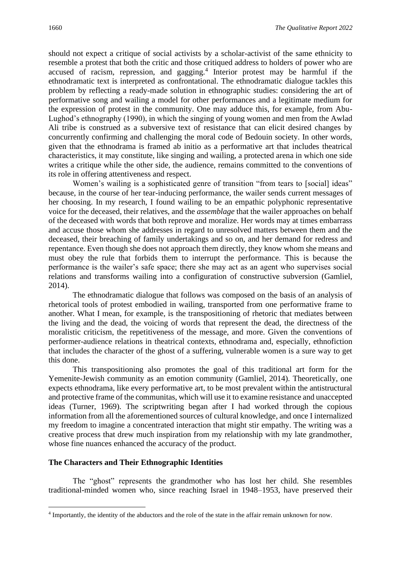should not expect a critique of social activists by a scholar-activist of the same ethnicity to resemble a protest that both the critic and those critiqued address to holders of power who are accused of racism, repression, and gagging.<sup>4</sup> Interior protest may be harmful if the ethnodramatic text is interpreted as confrontational. The ethnodramatic dialogue tackles this problem by reflecting a ready-made solution in ethnographic studies: considering the art of performative song and wailing a model for other performances and a legitimate medium for the expression of protest in the community. One may adduce this, for example, from Abu-Lughod's ethnography (1990), in which the singing of young women and men from the Awlad Ali tribe is construed as a subversive text of resistance that can elicit desired changes by concurrently confirming and challenging the moral code of Bedouin society. In other words, given that the ethnodrama is framed ab initio as a performative art that includes theatrical characteristics, it may constitute, like singing and wailing, a protected arena in which one side writes a critique while the other side, the audience, remains committed to the conventions of its role in offering attentiveness and respect.

Women's wailing is a sophisticated genre of transition "from tears to [social] ideas" because, in the course of her tear-inducing performance, the wailer sends current messages of her choosing. In my research, I found wailing to be an empathic polyphonic representative voice for the deceased, their relatives, and the *assemblage* that the wailer approaches on behalf of the deceased with words that both reprove and moralize. Her words may at times embarrass and accuse those whom she addresses in regard to unresolved matters between them and the deceased, their breaching of family undertakings and so on, and her demand for redress and repentance. Even though she does not approach them directly, they know whom she means and must obey the rule that forbids them to interrupt the performance. This is because the performance is the wailer's safe space; there she may act as an agent who supervises social relations and transforms wailing into a configuration of constructive subversion (Gamliel, 2014).

The ethnodramatic dialogue that follows was composed on the basis of an analysis of rhetorical tools of protest embodied in wailing, transported from one performative frame to another. What I mean, for example, is the transpositioning of rhetoric that mediates between the living and the dead, the voicing of words that represent the dead, the directness of the moralistic criticism, the repetitiveness of the message, and more. Given the conventions of performer-audience relations in theatrical contexts, ethnodrama and, especially, ethnofiction that includes the character of the ghost of a suffering, vulnerable women is a sure way to get this done.

This transpositioning also promotes the goal of this traditional art form for the Yemenite-Jewish community as an emotion community (Gamliel, 2014). Theoretically, one expects ethnodrama, like every performative art, to be most prevalent within the antistructural and protective frame of the communitas, which will use it to examine resistance and unaccepted ideas (Turner, 1969). The scriptwriting began after I had worked through the copious information from all the aforementioned sources of cultural knowledge, and once I internalized my freedom to imagine a concentrated interaction that might stir empathy. The writing was a creative process that drew much inspiration from my relationship with my late grandmother, whose fine nuances enhanced the accuracy of the product.

#### **The Characters and Their Ethnographic Identities**

The "ghost" represents the grandmother who has lost her child. She resembles traditional-minded women who, since reaching Israel in 1948–1953, have preserved their

<sup>4</sup> Importantly, the identity of the abductors and the role of the state in the affair remain unknown for now.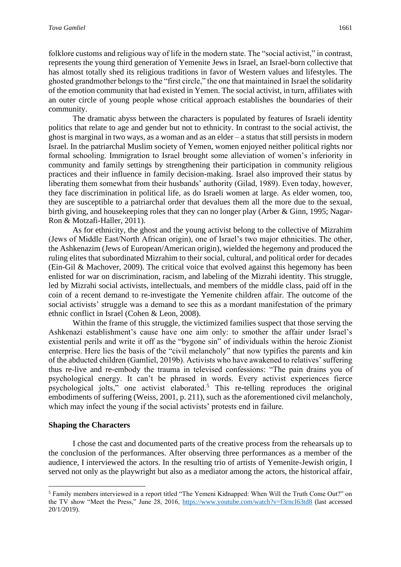folklore customs and religious way of life in the modern state. The "social activist," in contrast, represents the young third generation of Yemenite Jews in Israel, an Israel-born collective that has almost totally shed its religious traditions in favor of Western values and lifestyles. The ghosted grandmother belongs to the "first circle," the one that maintained in Israel the solidarity of the emotion community that had existed in Yemen. The social activist, in turn, affiliates with an outer circle of young people whose critical approach establishes the boundaries of their community.

The dramatic abyss between the characters is populated by features of Israeli identity politics that relate to age and gender but not to ethnicity. In contrast to the social activist, the ghost is marginal in two ways, as a woman and as an elder – a status that still persists in modern Israel. In the patriarchal Muslim society of Yemen, women enjoyed neither political rights nor formal schooling. Immigration to Israel brought some alleviation of women's inferiority in community and family settings by strengthening their participation in community religious practices and their influence in family decision-making. Israel also improved their status by liberating them somewhat from their husbands' authority (Gilad, 1989). Even today, however, they face discrimination in political life, as do Israeli women at large. As elder women, too, they are susceptible to a patriarchal order that devalues them all the more due to the sexual, birth giving, and housekeeping roles that they can no longer play (Arber & Ginn, 1995; Nagar-Ron & Motzafi-Haller, 2011).

As for ethnicity, the ghost and the young activist belong to the collective of Mizrahim (Jews of Middle East/North African origin), one of Israel's two major ethnicities. The other, the Ashkenazim (Jews of European/American origin), wielded the hegemony and produced the ruling elites that subordinated Mizrahim to their social, cultural, and political order for decades (Ein-Gil & Machover, 2009). The critical voice that evolved against this hegemony has been enlisted for war on discrimination, racism, and labeling of the Mizrahi identity. This struggle, led by Mizrahi social activists, intellectuals, and members of the middle class, paid off in the coin of a recent demand to re-investigate the Yemenite children affair. The outcome of the social activists' struggle was a demand to see this as a mordant manifestation of the primary ethnic conflict in Israel (Cohen & Leon, 2008).

Within the frame of this struggle, the victimized families suspect that those serving the Ashkenazi establishment's cause have one aim only: to smother the affair under Israel's existential perils and write it off as the "bygone sin" of individuals within the heroic Zionist enterprise. Here lies the basis of the "civil melancholy" that now typifies the parents and kin of the abducted children (Gamliel, 2019b). Activists who have awakened to relatives' suffering thus re-live and re-embody the trauma in televised confessions: "The pain drains you of psychological energy. It can't be phrased in words. Every activist experiences fierce psychological jolts," one activist elaborated.<sup>5</sup> This re-telling reproduces the original embodiments of suffering (Weiss, 2001, p. 211), such as the aforementioned civil melancholy, which may infect the young if the social activists' protests end in failure.

#### **Shaping the Characters**

I chose the cast and documented parts of the creative process from the rehearsals up to the conclusion of the performances. After observing three performances as a member of the audience, I interviewed the actors. In the resulting trio of artists of Yemenite-Jewish origin, I served not only as the playwright but also as a mediator among the actors, the historical affair,

<sup>5</sup> Family members interviewed in a report titled "The Yemeni Kidnapped: When Will the Truth Come Out?" on the TV show "Meet the Press," June 28, 2016,<https://www.youtube.com/watch?v=f3rncI63td8> (last accessed 20/1/2019).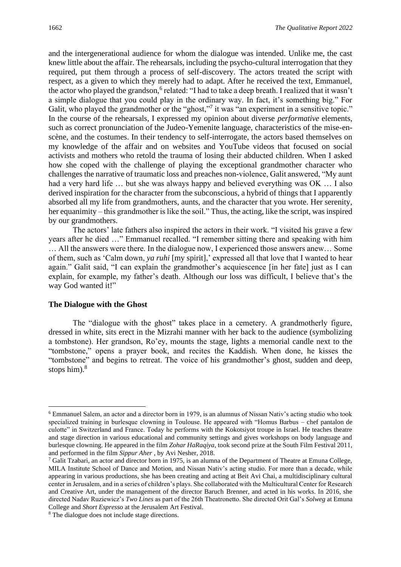and the intergenerational audience for whom the dialogue was intended. Unlike me, the cast knew little about the affair. The rehearsals, including the psycho-cultural interrogation that they required, put them through a process of self-discovery. The actors treated the script with respect, as a given to which they merely had to adapt. After he received the text, Emmanuel, the actor who played the grandson,<sup>6</sup> related: "I had to take a deep breath. I realized that it wasn't a simple dialogue that you could play in the ordinary way. In fact, it's something big." For Galit, who played the grandmother or the "ghost,"<sup>7</sup> it was "an experiment in a sensitive topic." In the course of the rehearsals, I expressed my opinion about diverse *performative* elements, such as correct pronunciation of the Judeo-Yemenite language, characteristics of the mise-enscène, and the costumes. In their tendency to self-interrogate, the actors based themselves on my knowledge of the affair and on websites and YouTube videos that focused on social activists and mothers who retold the trauma of losing their abducted children. When I asked how she coped with the challenge of playing the exceptional grandmother character who challenges the narrative of traumatic loss and preaches non-violence, Galit answered, "My aunt had a very hard life ... but she was always happy and believed everything was OK ... I also derived inspiration for the character from the subconscious, a hybrid of things that I apparently absorbed all my life from grandmothers, aunts, and the character that you wrote. Her serenity, her equanimity – this grandmother is like the soil." Thus, the acting, like the script, was inspired by our grandmothers.

The actors' late fathers also inspired the actors in their work. "I visited his grave a few years after he died …" Emmanuel recalled. "I remember sitting there and speaking with him … All the answers were there. In the dialogue now, I experienced those answers anew… Some of them, such as 'Calm down, *ya ruhi* [my spirit],' expressed all that love that I wanted to hear again." Galit said, "I can explain the grandmother's acquiescence [in her fate] just as I can explain, for example, my father's death. Although our loss was difficult, I believe that's the way God wanted it!"

#### **The Dialogue with the Ghost**

The "dialogue with the ghost" takes place in a cemetery. A grandmotherly figure, dressed in white, sits erect in the Mizrahi manner with her back to the audience (symbolizing a tombstone). Her grandson, Ro'ey, mounts the stage, lights a memorial candle next to the "tombstone," opens a prayer book, and recites the Kaddish. When done, he kisses the "tombstone" and begins to retreat. The voice of his grandmother's ghost, sudden and deep, stops him). 8

<sup>6</sup> Emmanuel Salem, an actor and a director born in 1979, is an alumnus of Nissan Nativ's acting studio who took specialized training in burlesque clowning in Toulouse. He appeared with "Homus Barbus – chef pantalon de culotte" in Switzerland and France. Today he performs with the Kokotsiyot troupe in Israel. He teaches theatre and stage direction in various educational and community settings and gives workshops on body language and burlesque clowning. He appeared in the film *Zohar HaRaqiya,* took second prize at the South Film Festival 2011, and performed in the film *Sippur Aher* , by Avi Nesher, 2018.

<sup>&</sup>lt;sup>7</sup> Galit Tzabari, an actor and director born in 1975, is an alumna of the Department of Theatre at Emuna College, MILA Institute School of Dance and Motion, and Nissan Nativ's acting studio. For more than a decade, while appearing in various productions, she has been creating and acting at Beit Avi Chai, a multidisciplinary cultural center in Jerusalem, and in a series of children's plays. She collaborated with the Multicultural Center for Research and Creative Art, under the management of the director Baruch Brenner, and acted in his works. In 2016, she directed Nadav Ruziewicz's *Two Lines* as part of the 26th Theatronetto. She directed Orit Gal's *Solweg* at Emuna College and *Short Espresso* at the Jerusalem Art Festival.

<sup>8</sup> The dialogue does not include stage directions.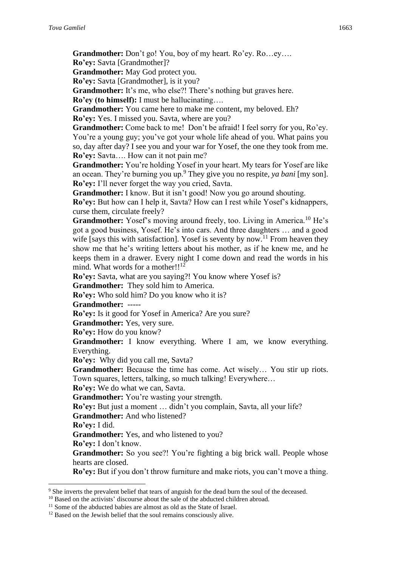**Grandmother:** Don't go! You, boy of my heart. Ro'ey. Ro…ey…. **Ro'ey:** Savta [Grandmother]?

**Grandmother:** May God protect you.

**Ro'ey:** Savta [Grandmother], is it you?

**Grandmother:** It's me, who else?! There's nothing but graves here.

**Ro'ey (to himself):** I must be hallucinating….

**Grandmother:** You came here to make me content, my beloved. Eh?

**Ro'ey:** Yes. I missed you. Savta, where are you?

**Grandmother:** Come back to me! Don't be afraid! I feel sorry for you, Ro'ey. You're a young guy; you've got your whole life ahead of you. What pains you so, day after day? I see you and your war for Yosef, the one they took from me. **Ro'ey:** Savta…. How can it not pain me?

**Grandmother:** You're holding Yosef in your heart. My tears for Yosef are like an ocean. They're burning you up.<sup>9</sup> They give you no respite, *ya bani* [my son]. **Ro'ey:** I'll never forget the way you cried, Savta.

**Grandmother:** I know. But it isn't good! Now you go around shouting.

**Ro'ey:** But how can I help it, Savta? How can I rest while Yosef's kidnappers, curse them, circulate freely?

**Grandmother:** Yosef's moving around freely, too. Living in America.<sup>10</sup> He's got a good business, Yosef. He's into cars. And three daughters … and a good wife [says this with satisfaction]. Yosef is seventy by now.<sup>11</sup> From heaven they show me that he's writing letters about his mother, as if he knew me, and he keeps them in a drawer. Every night I come down and read the words in his mind. What words for a mother!!<sup>12</sup>

**Ro'ey:** Savta, what are you saying?! You know where Yosef is?

**Grandmother:** They sold him to America.

**Ro'ey:** Who sold him? Do you know who it is?

**Grandmother:** *-----*

**Ro'ey:** Is it good for Yosef in America? Are you sure?

**Grandmother:** Yes, very sure.

**Ro'ey:** How do you know?

**Grandmother:** I know everything. Where I am, we know everything. Everything.

**Ro'ey:** Why did you call me, Savta?

**Grandmother:** Because the time has come. Act wisely… You stir up riots. Town squares, letters, talking, so much talking! Everywhere…

**Ro'ey:** We do what we can, Savta.

**Grandmother:** You're wasting your strength.

**Ro'ey:** But just a moment … didn't you complain, Savta, all your life?

**Grandmother:** And who listened?

**Ro'ey:** I did.

**Grandmother:** Yes, and who listened to you?

**Ro'ey:** I don't know.

**Grandmother:** So you see?! You're fighting a big brick wall. People whose hearts are closed.

**Ro'ey:** But if you don't throw furniture and make riots, you can't move a thing.

<sup>9</sup> She inverts the prevalent belief that tears of anguish for the dead burn the soul of the deceased.

<sup>&</sup>lt;sup>10</sup> Based on the activists' discourse about the sale of the abducted children abroad.

<sup>&</sup>lt;sup>11</sup> Some of the abducted babies are almost as old as the State of Israel.

<sup>&</sup>lt;sup>12</sup> Based on the Jewish belief that the soul remains consciously alive.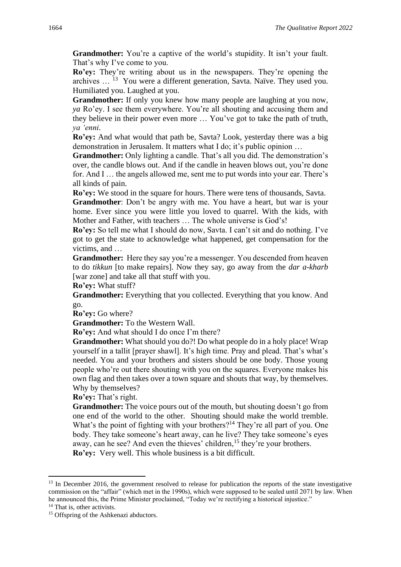**Grandmother:** You're a captive of the world's stupidity. It isn't your fault. That's why I've come to you.

**Ro'ey:** They're writing about us in the newspapers. They're opening the archives … <sup>13</sup> You were a different generation, Savta. Naïve. They used you. Humiliated you. Laughed at you.

**Grandmother:** If only you knew how many people are laughing at you now, *ya* Ro'ey. I see them everywhere. You're all shouting and accusing them and they believe in their power even more … You've got to take the path of truth, *ya 'enni*.

**Ro'ey:** And what would that path be, Savta? Look, yesterday there was a big demonstration in Jerusalem. It matters what I do; it's public opinion …

**Grandmother:** Only lighting a candle. That's all you did. The demonstration's over, the candle blows out. And if the candle in heaven blows out, you're done for. And I … the angels allowed me, sent me to put words into your ear. There's all kinds of pain.

**Ro'ey:** We stood in the square for hours. There were tens of thousands, Savta.

**Grandmother**: Don't be angry with me*.* You have a heart, but war is your home. Ever since you were little you loved to quarrel. With the kids, with Mother and Father, with teachers … The whole universe is God's!

**Ro'ey:** So tell me what I should do now, Savta. I can't sit and do nothing. I've got to get the state to acknowledge what happened, get compensation for the victims, and …

**Grandmother:** Here they say you're a messenger. You descended from heaven to do *tikkun* [to make repairs]. Now they say, go away from the *dar a-kharb* [war zone] and take all that stuff with you.

**Ro'ey:** What stuff?

**Grandmother:** Everything that you collected. Everything that you know. And go.

**Ro'ey:** Go where?

**Grandmother:** To the Western Wall.

**Ro'ey:** And what should I do once I'm there?

**Grandmother:** What should you do?! Do what people do in a holy place! Wrap yourself in a tallit [prayer shawl]. It's high time. Pray and plead. That's what's needed. You and your brothers and sisters should be one body. Those young people who're out there shouting with you on the squares. Everyone makes his own flag and then takes over a town square and shouts that way, by themselves. Why by themselves?

**Ro'ey:** That's right.

**Grandmother:** The voice pours out of the mouth, but shouting doesn't go from one end of the world to the other. Shouting should make the world tremble. What's the point of fighting with your brothers?<sup>14</sup> They're all part of you. One body. They take someone's heart away, can he live? They take someone's eyes away, can he see? And even the thieves' children,  $15$  they're your brothers. **Ro'ey:** Very well. This whole business is a bit difficult.

<sup>&</sup>lt;sup>13</sup> In December 2016, the government resolved to release for publication the reports of the state investigative commission on the "affair" (which met in the 1990s), which were supposed to be sealed until 2071 by law. When he announced this, the Prime Minister proclaimed, "Today we're rectifying a historical injustice."

<sup>&</sup>lt;sup>14</sup> That is, other activists.

<sup>&</sup>lt;sup>15</sup> Offspring of the Ashkenazi abductors.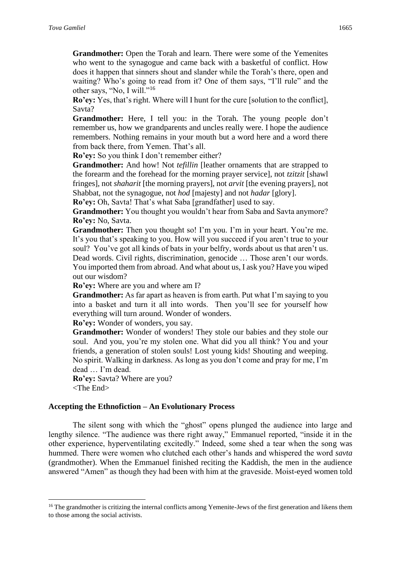Grandmother: Open the Torah and learn. There were some of the Yemenites who went to the synagogue and came back with a basketful of conflict. How does it happen that sinners shout and slander while the Torah's there, open and waiting? Who's going to read from it? One of them says, "I'll rule" and the other says, "No, I will."<sup>16</sup>

**Ro'ey:** Yes, that's right. Where will I hunt for the cure [solution to the conflict], Savta?

**Grandmother:** Here, I tell you: in the Torah. The young people don't remember us, how we grandparents and uncles really were. I hope the audience remembers. Nothing remains in your mouth but a word here and a word there from back there, from Yemen. That's all.

**Ro'ey:** So you think I don't remember either?

**Grandmother:** And how! Not *tefillin* [leather ornaments that are strapped to the forearm and the forehead for the morning prayer service], not *tzitzit* [shawl fringes], not *shaharit* [the morning prayers], not *arvit* [the evening prayers], not Shabbat, not the synagogue, not *hod* [majesty] and not *hadar* [glory].

**Ro'ey:** Oh, Savta! That's what Saba [grandfather] used to say.

**Grandmother:** You thought you wouldn't hear from Saba and Savta anymore? **Ro'ey:** No, Savta.

**Grandmother:** Then you thought so! I'm you. I'm in your heart. You're me. It's you that's speaking to you. How will you succeed if you aren't true to your soul? You've got all kinds of bats in your belfry, words about us that aren't us. Dead words. Civil rights, discrimination, genocide … Those aren't our words. You imported them from abroad. And what about us, I ask you? Have you wiped out our wisdom?

**Ro'ey:** Where are you and where am I?

**Grandmother:** As far apart as heaven is from earth. Put what I'm saying to you into a basket and turn it all into words. Then you'll see for yourself how everything will turn around. Wonder of wonders.

**Ro'ey:** Wonder of wonders, you say.

Grandmother: Wonder of wonders! They stole our babies and they stole our soul. And you, you're my stolen one. What did you all think? You and your friends, a generation of stolen souls! Lost young kids! Shouting and weeping. No spirit. Walking in darkness. As long as you don't come and pray for me, I'm dead … I'm dead.

**Ro'ey:** Savta? Where are you? <The End>

#### **Accepting the Ethnofiction – An Evolutionary Process**

The silent song with which the "ghost" opens plunged the audience into large and lengthy silence. "The audience was there right away," Emmanuel reported, "inside it in the other experience, hyperventilating excitedly." Indeed, some shed a tear when the song was hummed. There were women who clutched each other's hands and whispered the word *savta* (grandmother). When the Emmanuel finished reciting the Kaddish, the men in the audience answered "Amen" as though they had been with him at the graveside. Moist-eyed women told

<sup>&</sup>lt;sup>16</sup> The grandmother is critizing the internal conflicts among Yemenite-Jews of the first generation and likens them to those among the social activists.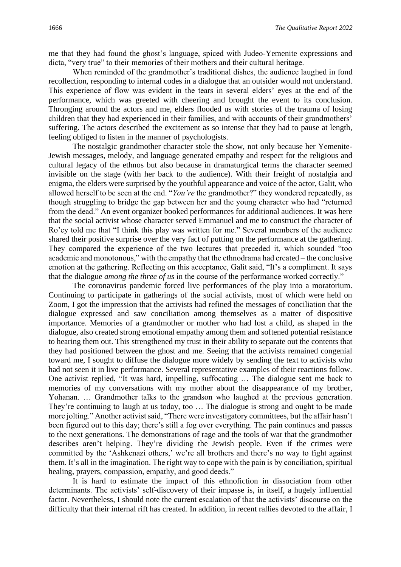me that they had found the ghost's language, spiced with Judeo-Yemenite expressions and dicta, "very true" to their memories of their mothers and their cultural heritage.

When reminded of the grandmother's traditional dishes, the audience laughed in fond recollection, responding to internal codes in a dialogue that an outsider would not understand. This experience of flow was evident in the tears in several elders' eyes at the end of the performance, which was greeted with cheering and brought the event to its conclusion. Thronging around the actors and me, elders flooded us with stories of the trauma of losing children that they had experienced in their families, and with accounts of their grandmothers' suffering. The actors described the excitement as so intense that they had to pause at length, feeling obliged to listen in the manner of psychologists.

The nostalgic grandmother character stole the show, not only because her Yemenite-Jewish messages, melody, and language generated empathy and respect for the religious and cultural legacy of the ethnos but also because in dramaturgical terms the character seemed invisible on the stage (with her back to the audience). With their freight of nostalgia and enigma, the elders were surprised by the youthful appearance and voice of the actor, Galit, who allowed herself to be seen at the end. "*You're* the grandmother?" they wondered repeatedly, as though struggling to bridge the gap between her and the young character who had "returned from the dead." An event organizer booked performances for additional audiences. It was here that the social activist whose character served Emmanuel and me to construct the character of Ro'ey told me that "I think this play was written for me." Several members of the audience shared their positive surprise over the very fact of putting on the performance at the gathering. They compared the experience of the two lectures that preceded it, which sounded "too academic and monotonous," with the empathy that the ethnodrama had created – the conclusive emotion at the gathering. Reflecting on this acceptance, Galit said, "It's a compliment. It says that the dialogue *among the three of us* in the course of the performance worked correctly."

The coronavirus pandemic forced live performances of the play into a moratorium. Continuing to participate in gatherings of the social activists, most of which were held on Zoom, I got the impression that the activists had refined the messages of conciliation that the dialogue expressed and saw conciliation among themselves as a matter of dispositive importance. Memories of a grandmother or mother who had lost a child, as shaped in the dialogue, also created strong emotional empathy among them and softened potential resistance to hearing them out. This strengthened my trust in their ability to separate out the contents that they had positioned between the ghost and me. Seeing that the activists remained congenial toward me, I sought to diffuse the dialogue more widely by sending the text to activists who had not seen it in live performance. Several representative examples of their reactions follow. One activist replied, "It was hard, impelling, suffocating … The dialogue sent me back to memories of my conversations with my mother about the disappearance of my brother, Yohanan. … Grandmother talks to the grandson who laughed at the previous generation. They're continuing to laugh at us today, too … The dialogue is strong and ought to be made more jolting." Another activist said, "There were investigatory committees, but the affair hasn't been figured out to this day; there's still a fog over everything. The pain continues and passes to the next generations. The demonstrations of rage and the tools of war that the grandmother describes aren't helping. They're dividing the Jewish people. Even if the crimes were committed by the 'Ashkenazi others,' we're all brothers and there's no way to fight against them. It's all in the imagination. The right way to cope with the pain is by conciliation, spiritual healing, prayers, compassion, empathy, and good deeds."

It is hard to estimate the impact of this ethnofiction in dissociation from other determinants. The activists' self-discovery of their impasse is, in itself, a hugely influential factor. Nevertheless, I should note the current escalation of that the activists' discourse on the difficulty that their internal rift has created. In addition, in recent rallies devoted to the affair, I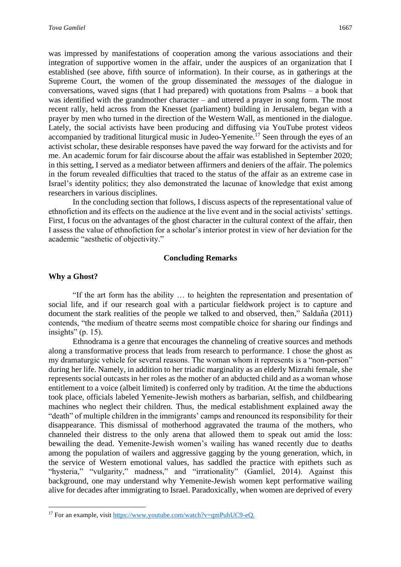was impressed by manifestations of cooperation among the various associations and their integration of supportive women in the affair, under the auspices of an organization that I established (see above, fifth source of information). In their course, as in gatherings at the Supreme Court, the women of the group disseminated the *messages* of the dialogue in conversations, waved signs (that I had prepared) with quotations from Psalms – a book that was identified with the grandmother character – and uttered a prayer in song form. The most recent rally, held across from the Knesset (parliament) building in Jerusalem, began with a prayer by men who turned in the direction of the Western Wall, as mentioned in the dialogue. Lately, the social activists have been producing and diffusing via YouTube protest videos accompanied by traditional liturgical music in Judeo-Yemenite.<sup>17</sup> Seen through the eyes of an activist scholar, these desirable responses have paved the way forward for the activists and for me. An academic forum for fair discourse about the affair was established in September 2020; in this setting, I served as a mediator between affirmers and deniers of the affair. The polemics in the forum revealed difficulties that traced to the status of the affair as an extreme case in Israel's identity politics; they also demonstrated the lacunae of knowledge that exist among researchers in various disciplines.

In the concluding section that follows, I discuss aspects of the representational value of ethnofiction and its effects on the audience at the live event and in the social activists' settings. First, I focus on the advantages of the ghost character in the cultural context of the affair, then I assess the value of ethnofiction for a scholar's interior protest in view of her deviation for the academic "aesthetic of objectivity."

#### **Concluding Remarks**

#### **Why a Ghost?**

"If the art form has the ability … to heighten the representation and presentation of social life, and if our research goal with a particular fieldwork project is to capture and document the stark realities of the people we talked to and observed, then," Saldaña (2011) contends, "the medium of theatre seems most compatible choice for sharing our findings and insights" (p. 15).

Ethnodrama is a genre that encourages the channeling of creative sources and methods along a transformative process that leads from research to performance. I chose the ghost as my dramaturgic vehicle for several reasons. The woman whom it represents is a "non-person" during her life. Namely, in addition to her triadic marginality as an elderly Mizrahi female, she represents social outcasts in her roles as the mother of an abducted child and as a woman whose entitlement to a voice (albeit limited) is conferred only by tradition. At the time the abductions took place, officials labeled Yemenite-Jewish mothers as barbarian, selfish, and childbearing machines who neglect their children. Thus, the medical establishment explained away the "death" of multiple children in the immigrants' camps and renounced its responsibility for their disappearance. This dismissal of motherhood aggravated the trauma of the mothers, who channeled their distress to the only arena that allowed them to speak out amid the loss: bewailing the dead. Yemenite-Jewish women's wailing has waned recently due to deaths among the population of wailers and aggressive gagging by the young generation, which, in the service of Western emotional values, has saddled the practice with epithets such as "hysteria," "vulgarity," madness," and "irrationality" (Gamliel, 2014). Against this background, one may understand why Yemenite-Jewish women kept performative wailing alive for decades after immigrating to Israel. Paradoxically, when women are deprived of every

<sup>&</sup>lt;sup>17</sup> For an example, visit [https://www.youtube.com/watch?v=qmPuhUC9-eQ.](https://www.youtube.com/watch?v=qmPuhUC9-eQ)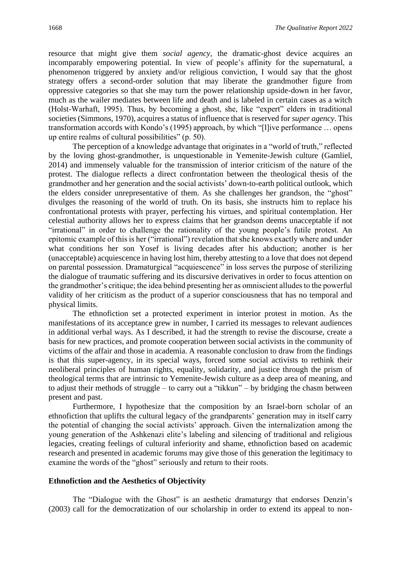resource that might give them *social agency,* the dramatic-ghost device acquires an incomparably empowering potential. In view of people's affinity for the supernatural, a phenomenon triggered by anxiety and/or religious conviction, I would say that the ghost strategy offers a second-order solution that may liberate the grandmother figure from oppressive categories so that she may turn the power relationship upside-down in her favor, much as the wailer mediates between life and death and is labeled in certain cases as a witch (Holst-Warhaft, 1995). Thus, by becoming a ghost, she, like "expert" elders in traditional societies (Simmons, 1970), acquires a status of influence that is reserved for *super agency*. This transformation accords with Kondo's (1995) approach, by which "[l]ive performance … opens up entire realms of cultural possibilities" (p. 50).

The perception of a knowledge advantage that originates in a "world of truth," reflected by the loving ghost-grandmother, is unquestionable in Yemenite-Jewish culture (Gamliel, 2014) and immensely valuable for the transmission of interior criticism of the nature of the protest. The dialogue reflects a direct confrontation between the theological thesis of the grandmother and her generation and the social activists' down-to-earth political outlook, which the elders consider unrepresentative of them. As she challenges her grandson, the "ghost" divulges the reasoning of the world of truth. On its basis, she instructs him to replace his confrontational protests with prayer, perfecting his virtues, and spiritual contemplation. Her celestial authority allows her to express claims that her grandson deems unacceptable if not "irrational" in order to challenge the rationality of the young people's futile protest. An epitomic example of this is her ("irrational") revelation that she knows exactly where and under what conditions her son Yosef is living decades after his abduction; another is her (unacceptable) acquiescence in having lost him, thereby attesting to a love that does not depend on parental possession. Dramaturgical "acquiescence" in loss serves the purpose of sterilizing the dialogue of traumatic suffering and its discursive derivatives in order to focus attention on the grandmother's critique; the idea behind presenting her as omniscient alludes to the powerful validity of her criticism as the product of a superior consciousness that has no temporal and physical limits.

The ethnofiction set a protected experiment in interior protest in motion. As the manifestations of its acceptance grew in number, I carried its messages to relevant audiences in additional verbal ways. As I described, it had the strength to revise the discourse, create a basis for new practices, and promote cooperation between social activists in the community of victims of the affair and those in academia. A reasonable conclusion to draw from the findings is that this super-agency, in its special ways, forced some social activists to rethink their neoliberal principles of human rights, equality, solidarity, and justice through the prism of theological terms that are intrinsic to Yemenite-Jewish culture as a deep area of meaning, and to adjust their methods of struggle – to carry out a "tikkun" – by bridging the chasm between present and past.

Furthermore, I hypothesize that the composition by an Israel-born scholar of an ethnofiction that uplifts the cultural legacy of the grandparents' generation may in itself carry the potential of changing the social activists' approach. Given the internalization among the young generation of the Ashkenazi elite's labeling and silencing of traditional and religious legacies, creating feelings of cultural inferiority and shame, ethnofiction based on academic research and presented in academic forums may give those of this generation the legitimacy to examine the words of the "ghost" seriously and return to their roots.

#### **Ethnofiction and the Aesthetics of Objectivity**

The "Dialogue with the Ghost" is an aesthetic dramaturgy that endorses Denzin's (2003) call for the democratization of our scholarship in order to extend its appeal to non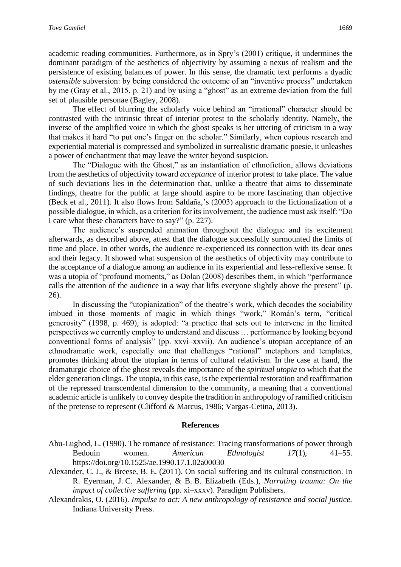academic reading communities. Furthermore, as in Spry's (2001) critique, it undermines the dominant paradigm of the aesthetics of objectivity by assuming a nexus of realism and the persistence of existing balances of power. In this sense, the dramatic text performs a dyadic *ostensible* subversion: by being considered the outcome of an "inventive process" undertaken by me (Gray et al., 2015, p. 21) and by using a "ghost" as an extreme deviation from the full set of plausible personae (Bagley, 2008).

The effect of blurring the scholarly voice behind an "irrational" character should be contrasted with the intrinsic threat of interior protest to the scholarly identity. Namely, the inverse of the amplified voice in which the ghost speaks is her uttering of criticism in a way that makes it hard "to put one's finger on the scholar." Similarly, when copious research and experiential material is compressed and symbolized in surrealistic dramatic poesie, it unleashes a power of enchantment that may leave the writer beyond suspicion.

The "Dialogue with the Ghost," as an instantiation of ethnofiction, allows deviations from the aesthetics of objectivity toward *acceptance* of interior protest to take place. The value of such deviations lies in the determination that, unlike a theatre that aims to disseminate findings, theatre for the public at large should aspire to be more fascinating than objective (Beck et al., 2011). It also flows from Saldan͂a,'s (2003) approach to the fictionalization of a possible dialogue, in which, as a criterion for its involvement, the audience must ask itself: "Do I care what these characters have to say?" (p. 227).

The audience's suspended animation throughout the dialogue and its excitement afterwards, as described above, attest that the dialogue successfully surmounted the limits of time and place. In other words, the audience re-experienced its connection with its dear ones and their legacy. It showed what suspension of the aesthetics of objectivity may contribute to the acceptance of a dialogue among an audience in its experiential and less-reflexive sense. It was a utopia of "profound moments," as Dolan (2008) describes them, in which "performance calls the attention of the audience in a way that lifts everyone slightly above the present" (p. 26).

In discussing the "utopianization" of the theatre's work, which decodes the sociability imbued in those moments of magic in which things "work," Román's term, "critical generosity" (1998, p. 469), is adopted: "a practice that sets out to intervene in the limited perspectives we currently employ to understand and discuss … performance by looking beyond conventional forms of analysis" (pp. xxvi–xxvii). An audience's utopian acceptance of an ethnodramatic work, especially one that challenges "rational" metaphors and templates, promotes thinking about the utopian in terms of cultural relativism. In the case at hand, the dramaturgic choice of the ghost reveals the importance of the *spiritual utopia* to which that the elder generation clings. The utopia, in this case, is the experiential restoration and reaffirmation of the repressed transcendental dimension to the community, a meaning that a conventional academic article is unlikely to convey despite the tradition in anthropology of ramified criticism of the pretense to represent (Clifford & Marcus, 1986; Vargas-Cetina, 2013).

#### **References**

- Abu-Lughod, L. (1990). The romance of resistance: Tracing transformations of power through Bedouin women. *American Ethnologist 17*(1), 41–55. https://doi.org/10.1525/ae.1990.17.1.02a00030
- Alexander, C. J., & Breese, B. E. (2011). On social suffering and its cultural construction. In R. Eyerman, J. C. Alexander, & B. B. Elizabeth (Eds.), *Narrating trauma: On the impact of collective suffering* (pp. xi–xxxv). Paradigm Publishers.
- Alexandrakis, O. (2016). *Impulse to act: A new anthropology of resistance and social justice.* Indiana University Press.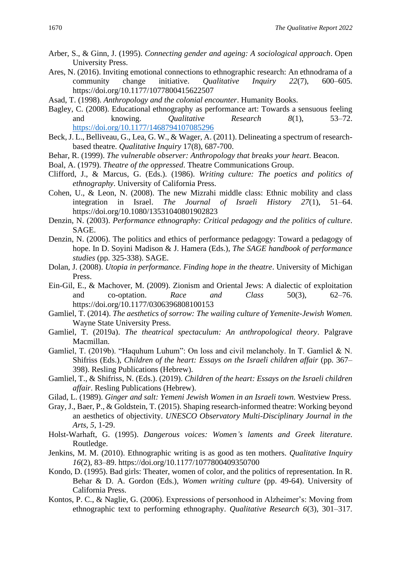- Arber, S., & Ginn, J. (1995). *Connecting gender and ageing: A sociological approach*. Open University Press.
- Ares, N. (2016). Inviting emotional connections to ethnographic research: An ethnodrama of a community change initiative. *Qualitative Inquiry 22*(7), 600–605. https://doi.org/10.1177/1077800415622507
- Asad, T. (1998). *Anthropology and the colonial encounter*. Humanity Books.
- Bagley, C. (2008). Educational ethnography as performance art: Towards a sensuous feeling and knowing. *Qualitative Research 8*(1), 53–72. <https://doi.org/10.1177/1468794107085296>
- Beck, J. L., Belliveau, G., Lea, G. W., & Wager, A. (2011). Delineating a spectrum of researchbased theatre. *Qualitative Inquiry* 17(8), 687-700.
- Behar, R. (1999). *The vulnerable observer: Anthropology that breaks your heart*. Beacon.
- Boal, A. (1979). *Theatre of the oppressed*. Theatre Communications Group.
- Clifford, J., & Marcus, G. (Eds.). (1986). *Writing culture: The poetics and politics of ethnography*. University of California Press.
- Cohen, U., & Leon, N. (2008). The new Mizrahi middle class: Ethnic mobility and class integration in Israel. *The Journal of Israeli History 27*(1), 51–64. https://doi.org/10.1080/13531040801902823
- Denzin, N. (2003). *Performance ethnography: Critical pedagogy and the politics of culture*. SAGE.
- Denzin, N. (2006). The politics and ethics of performance pedagogy: Toward a pedagogy of hope. In D. Soyini Madison & J. Hamera (Eds.), *The SAGE handbook of performance studies* (pp. 325-338). SAGE.
- Dolan, J. (2008). *Utopia in performance. Finding hope in the theatre*. University of Michigan Press.
- Ein-Gil, E., & Machover, M. (2009). Zionism and Oriental Jews: A dialectic of exploitation and co-optation. *Race and Class* 50(3), 62–76. https://doi.org/10.1177/0306396808100153
- Gamliel, T. (2014). *The aesthetics of sorrow: The wailing culture of Yemenite-Jewish Women.* Wayne State University Press.
- Gamliel, T. (2019a). *The theatrical spectaculum: An anthropological theory*. Palgrave Macmillan.
- Gamliel, T. (2019b). "Haquhum Luhum": On loss and civil melancholy. In T. Gamliel & N. Shifriss (Eds.), *Children of the heart: Essays on the Israeli children affair* (pp. 367– 398). Resling Publications (Hebrew).
- Gamliel, T., & Shifriss, N. (Eds.). (2019). *Children of the heart: Essays on the Israeli children affair*. Resling Publications (Hebrew).
- Gilad, L. (1989). *Ginger and salt: Yemeni Jewish Women in an Israeli town.* Westview Press.
- Gray, J., Baer, P., & Goldstein, T. (2015). Shaping research-informed theatre: Working beyond an aesthetics of objectivity. *UNESCO Observatory Multi-Disciplinary Journal in the Arts*, *5*, 1-29.
- Holst-Warhaft, G. (1995). *Dangerous voices: Women's laments and Greek literature*. Routledge.
- Jenkins, M. M. (2010). Ethnographic writing is as good as ten mothers. *Qualitative Inquiry 16*(2), 83–89. https://doi.org/10.1177/1077800409350700
- Kondo, D. (1995). Bad girls: Theater, women of color, and the politics of representation. In R. Behar & D. A. Gordon (Eds.), *Women writing culture* (pp. 49-64). University of California Press.
- Kontos, P. C., & Naglie, G. (2006). Expressions of personhood in Alzheimer's: Moving from ethnographic text to performing ethnography. *Qualitative Research 6*(3), 301–317.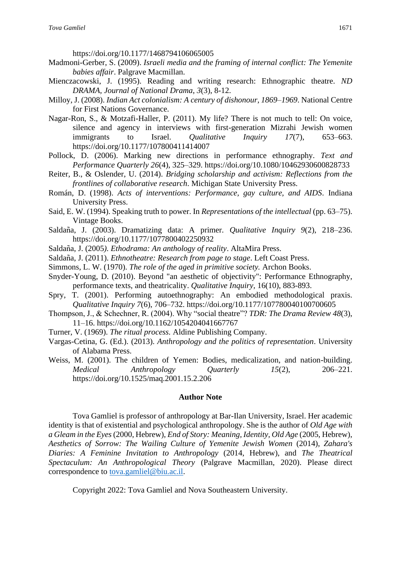https://doi.org/10.1177/1468794106065005

- Madmoni-Gerber, S. (2009). *Israeli media and the framing of internal conflict: The Yemenite babies affair*. Palgrave Macmillan.
- Mienczacowski, J. (1995). Reading and writing research: Ethnographic theatre. *ND DRAMA, Journal of National Drama*, *3*(3), 8-12.
- Milloy, J. (2008). *Indian Act colonialism: A century of dishonour, 1869–1969*. National Centre for First Nations Governance.
- Nagar-Ron, S., & Motzafi-Haller, P. (2011). My life? There is not much to tell: On voice, silence and agency in interviews with first-generation Mizrahi Jewish women immigrants to Israel. *Qualitative Inquiry 17*(7), 653–663. https://doi.org/10.1177/107800411414007
- Pollock, D. (2006). Marking new directions in performance ethnography. *Text and Performance Quarterly 26*(4), 325–329. https://doi.org/10.1080/10462930600828733
- Reiter, B., & Oslender, U. (2014). *Bridging scholarship and activism: Reflections from the frontlines of collaborative research*. Michigan State University Press.
- Román, D. (1998). *Acts of interventions: Performance, gay culture, and AIDS*. Indiana University Press.
- Said, E. W. (1994). Speaking truth to power. In *Representations of the intellectual* (pp. 63–75). Vintage Books.
- Saldan͂a, J. (2003). Dramatizing data: A primer. *Qualitative Inquiry 9*(2), 218–236. https://doi.org/10.1177/1077800402250932
- Saldan͂a, J. (2005*). Ethodrama: An anthology of reality*. AltaMira Press.
- Saldan͂a, J. (2011). *Ethnotheatre: Research from page to stage*. Left Coast Press.
- Simmons, L. W. (1970). *The role of the aged in primitive society.* Archon Books.
- Snyder-Young, D. (2010). Beyond "an aesthetic of objectivity": Performance Ethnography, performance texts, and theatricality. *Qualitative Inquiry,* 16(10), 883-893.
- Spry, T. (2001). Performing autoethnography: An embodied methodological praxis. *Qualitative Inquiry 7*(6), 706–732. https://doi.org/10.1177/107780040100700605
- Thompson, J., & Schechner, R. (2004). Why "social theatre"? *TDR: The Drama Review 48*(3), 11–16. https://doi.org/10.1162/1054204041667767
- Turner, V. (1969). *The ritual process.* Aldine Publishing Company.
- Vargas-Cetina, G. (Ed.). (2013). *Anthropology and the politics of representation*. University of Alabama Press.
- Weiss, M. (2001). The children of Yemen: Bodies, medicalization, and nation-building. *Medical Anthropology Quarterly 15*(2), 206–221. https://doi.org/10.1525/maq.2001.15.2.206

#### **Author Note**

Tova Gamliel is professor of anthropology at Bar-Ilan University, Israel. Her academic identity is that of existential and psychological anthropology. She is the author of *Old Age with a Gleam in the Eyes*(2000, Hebrew), *End of Story: Meaning, Identity, Old Age* (2005, Hebrew), *Aesthetics of Sorrow: The Wailing Culture of Yemenite Jewish Women* (2014), *Zahara's Diaries: A Feminine Invitation to Anthropology* (2014, Hebrew), and *The Theatrical Spectaculum: An Anthropological Theory* (Palgrave Macmillan, 2020). Please direct correspondence to [tova.gamliel@biu.ac.il.](mailto:tova.gamliel@biu.ac.il)

Copyright 2022: Tova Gamliel and Nova Southeastern University.